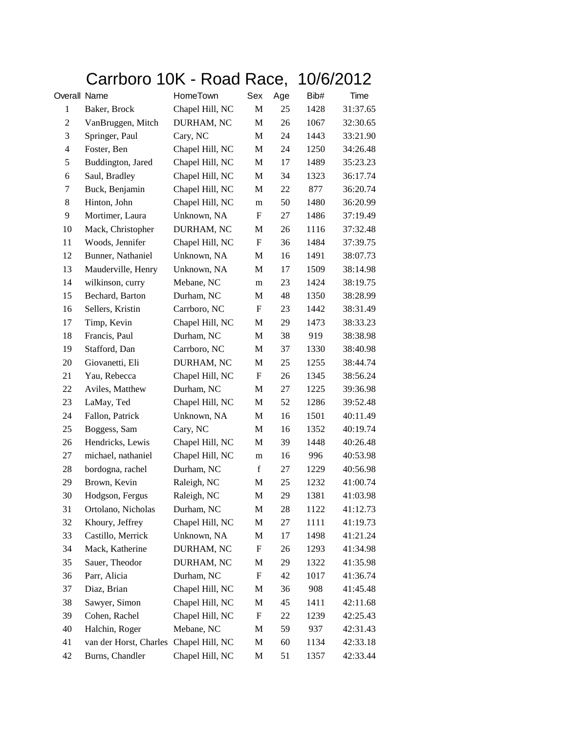## Carrboro 10K - Road Race, 10/6/2012

| Overall Name   |                                        | HomeTown        | Sex                       | Age | Bib# | Time     |
|----------------|----------------------------------------|-----------------|---------------------------|-----|------|----------|
| $\mathbf{1}$   | Baker, Brock                           | Chapel Hill, NC | M                         | 25  | 1428 | 31:37.65 |
| $\overline{c}$ | VanBruggen, Mitch                      | DURHAM, NC      | M                         | 26  | 1067 | 32:30.65 |
| 3              | Springer, Paul                         | Cary, NC        | $\mathbf M$               | 24  | 1443 | 33:21.90 |
| $\overline{4}$ | Foster, Ben                            | Chapel Hill, NC | M                         | 24  | 1250 | 34:26.48 |
| 5              | Buddington, Jared                      | Chapel Hill, NC | M                         | 17  | 1489 | 35:23.23 |
| 6              | Saul, Bradley                          | Chapel Hill, NC | M                         | 34  | 1323 | 36:17.74 |
| 7              | Buck, Benjamin                         | Chapel Hill, NC | M                         | 22  | 877  | 36:20.74 |
| 8              | Hinton, John                           | Chapel Hill, NC | m                         | 50  | 1480 | 36:20.99 |
| 9              | Mortimer, Laura                        | Unknown, NA     | F                         | 27  | 1486 | 37:19.49 |
| 10             | Mack, Christopher                      | DURHAM, NC      | M                         | 26  | 1116 | 37:32.48 |
| 11             | Woods, Jennifer                        | Chapel Hill, NC | ${\rm F}$                 | 36  | 1484 | 37:39.75 |
| 12             | Bunner, Nathaniel                      | Unknown, NA     | M                         | 16  | 1491 | 38:07.73 |
| 13             | Mauderville, Henry                     | Unknown, NA     | M                         | 17  | 1509 | 38:14.98 |
| 14             | wilkinson, curry                       | Mebane, NC      | m                         | 23  | 1424 | 38:19.75 |
| 15             | Bechard, Barton                        | Durham, NC      | M                         | 48  | 1350 | 38:28.99 |
| 16             | Sellers, Kristin                       | Carrboro, NC    | ${\rm F}$                 | 23  | 1442 | 38:31.49 |
| 17             | Timp, Kevin                            | Chapel Hill, NC | M                         | 29  | 1473 | 38:33.23 |
| 18             | Francis, Paul                          | Durham, NC      | $\mathbf M$               | 38  | 919  | 38:38.98 |
| 19             | Stafford, Dan                          | Carrboro, NC    | M                         | 37  | 1330 | 38:40.98 |
| 20             | Giovanetti, Eli                        | DURHAM, NC      | M                         | 25  | 1255 | 38:44.74 |
| 21             | Yau, Rebecca                           | Chapel Hill, NC | $\boldsymbol{\mathrm{F}}$ | 26  | 1345 | 38:56.24 |
| 22             | Aviles, Matthew                        | Durham, NC      | M                         | 27  | 1225 | 39:36.98 |
| 23             | LaMay, Ted                             | Chapel Hill, NC | $\mathbf M$               | 52  | 1286 | 39:52.48 |
| 24             | Fallon, Patrick                        | Unknown, NA     | M                         | 16  | 1501 | 40:11.49 |
| 25             | Boggess, Sam                           | Cary, NC        | M                         | 16  | 1352 | 40:19.74 |
| 26             | Hendricks, Lewis                       | Chapel Hill, NC | M                         | 39  | 1448 | 40:26.48 |
| 27             | michael, nathaniel                     | Chapel Hill, NC | m                         | 16  | 996  | 40:53.98 |
| 28             | bordogna, rachel                       | Durham, NC      | $\mathbf f$               | 27  | 1229 | 40:56.98 |
| 29             | Brown, Kevin                           | Raleigh, NC     | М                         | 25  | 1232 | 41:00.74 |
| 30             | Hodgson, Fergus                        | Raleigh, NC     | M                         | 29  | 1381 | 41:03.98 |
| 31             | Ortolano, Nicholas                     | Durham, NC      | M                         | 28  | 1122 | 41:12.73 |
| 32             | Khoury, Jeffrey                        | Chapel Hill, NC | M                         | 27  | 1111 | 41:19.73 |
| 33             | Castillo, Merrick                      | Unknown, NA     | M                         | 17  | 1498 | 41:21.24 |
| 34             | Mack, Katherine                        | DURHAM, NC      | F                         | 26  | 1293 | 41:34.98 |
| 35             | Sauer, Theodor                         | DURHAM, NC      | M                         | 29  | 1322 | 41:35.98 |
| 36             | Parr, Alicia                           | Durham, NC      | F                         | 42  | 1017 | 41:36.74 |
| 37             | Diaz, Brian                            | Chapel Hill, NC | M                         | 36  | 908  | 41:45.48 |
| 38             | Sawyer, Simon                          | Chapel Hill, NC | M                         | 45  | 1411 | 42:11.68 |
| 39             | Cohen, Rachel                          | Chapel Hill, NC | $\boldsymbol{\mathrm{F}}$ | 22  | 1239 | 42:25.43 |
| 40             | Halchin, Roger                         | Mebane, NC      | M                         | 59  | 937  | 42:31.43 |
| 41             | van der Horst, Charles Chapel Hill, NC |                 | M                         | 60  | 1134 | 42:33.18 |
| 42             | Burns, Chandler                        | Chapel Hill, NC | M                         | 51  | 1357 | 42:33.44 |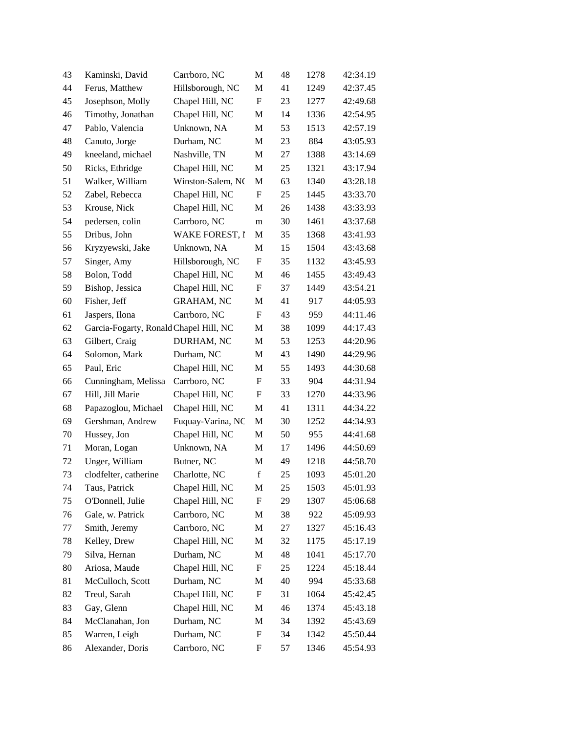| 43 | Kaminski, David                        | Carrboro, NC          | M                         | 48 | 1278 | 42:34.19 |
|----|----------------------------------------|-----------------------|---------------------------|----|------|----------|
| 44 | Ferus, Matthew                         | Hillsborough, NC      | M                         | 41 | 1249 | 42:37.45 |
| 45 | Josephson, Molly                       | Chapel Hill, NC       | $\mathbf F$               | 23 | 1277 | 42:49.68 |
| 46 | Timothy, Jonathan                      | Chapel Hill, NC       | M                         | 14 | 1336 | 42:54.95 |
| 47 | Pablo, Valencia                        | Unknown, NA           | M                         | 53 | 1513 | 42:57.19 |
| 48 | Canuto, Jorge                          | Durham, NC            | M                         | 23 | 884  | 43:05.93 |
| 49 | kneeland, michael                      | Nashville, TN         | M                         | 27 | 1388 | 43:14.69 |
| 50 | Ricks, Ethridge                        | Chapel Hill, NC       | $\mathbf M$               | 25 | 1321 | 43:17.94 |
| 51 | Walker, William                        | Winston-Salem, NC     | M                         | 63 | 1340 | 43:28.18 |
| 52 | Zabel, Rebecca                         | Chapel Hill, NC       | $\boldsymbol{\mathrm{F}}$ | 25 | 1445 | 43:33.70 |
| 53 | Krouse, Nick                           | Chapel Hill, NC       | M                         | 26 | 1438 | 43:33.93 |
| 54 | pedersen, colin                        | Carrboro, NC          | m                         | 30 | 1461 | 43:37.68 |
| 55 | Dribus, John                           | <b>WAKE FOREST, I</b> | M                         | 35 | 1368 | 43:41.93 |
| 56 | Kryzyewski, Jake                       | Unknown, NA           | M                         | 15 | 1504 | 43:43.68 |
| 57 | Singer, Amy                            | Hillsborough, NC      | ${\rm F}$                 | 35 | 1132 | 43:45.93 |
| 58 | Bolon, Todd                            | Chapel Hill, NC       | M                         | 46 | 1455 | 43:49.43 |
| 59 | Bishop, Jessica                        | Chapel Hill, NC       | $\mathbf F$               | 37 | 1449 | 43:54.21 |
| 60 | Fisher, Jeff                           | <b>GRAHAM, NC</b>     | M                         | 41 | 917  | 44:05.93 |
| 61 | Jaspers, Ilona                         | Carrboro, NC          | F                         | 43 | 959  | 44:11.46 |
| 62 | Garcia-Fogarty, Ronald Chapel Hill, NC |                       | M                         | 38 | 1099 | 44:17.43 |
| 63 | Gilbert, Craig                         | DURHAM, NC            | M                         | 53 | 1253 | 44:20.96 |
| 64 | Solomon, Mark                          | Durham, NC            | M                         | 43 | 1490 | 44:29.96 |
| 65 | Paul, Eric                             | Chapel Hill, NC       | M                         | 55 | 1493 | 44:30.68 |
| 66 | Cunningham, Melissa                    | Carrboro, NC          | F                         | 33 | 904  | 44:31.94 |
| 67 | Hill, Jill Marie                       | Chapel Hill, NC       | F                         | 33 | 1270 | 44:33.96 |
| 68 | Papazoglou, Michael                    | Chapel Hill, NC       | M                         | 41 | 1311 | 44:34.22 |
| 69 | Gershman, Andrew                       | Fuquay-Varina, NC     | M                         | 30 | 1252 | 44:34.93 |
| 70 | Hussey, Jon                            | Chapel Hill, NC       | M                         | 50 | 955  | 44:41.68 |
| 71 | Moran, Logan                           | Unknown, NA           | M                         | 17 | 1496 | 44:50.69 |
| 72 | Unger, William                         | Butner, NC            | M                         | 49 | 1218 | 44:58.70 |
| 73 | clodfelter, catherine                  | Charlotte, NC         | $\mathbf f$               | 25 | 1093 | 45:01.20 |
| 74 | Taus, Patrick                          | Chapel Hill, NC       | M                         | 25 | 1503 | 45:01.93 |
| 75 | O'Donnell, Julie                       | Chapel Hill, NC       | F                         | 29 | 1307 | 45:06.68 |
| 76 | Gale, w. Patrick                       | Carrboro, NC          | M                         | 38 | 922  | 45:09.93 |
| 77 | Smith, Jeremy                          | Carrboro, NC          | M                         | 27 | 1327 | 45:16.43 |
| 78 | Kelley, Drew                           | Chapel Hill, NC       | M                         | 32 | 1175 | 45:17.19 |
| 79 | Silva, Hernan                          | Durham, NC            | M                         | 48 | 1041 | 45:17.70 |
| 80 | Ariosa, Maude                          | Chapel Hill, NC       | F                         | 25 | 1224 | 45:18.44 |
| 81 | McCulloch, Scott                       | Durham, NC            | M                         | 40 | 994  | 45:33.68 |
| 82 | Treul, Sarah                           | Chapel Hill, NC       | F                         | 31 | 1064 | 45:42.45 |
| 83 | Gay, Glenn                             | Chapel Hill, NC       | M                         | 46 | 1374 | 45:43.18 |
| 84 | McClanahan, Jon                        | Durham, NC            | M                         | 34 | 1392 | 45:43.69 |
| 85 | Warren, Leigh                          | Durham, NC            | F                         | 34 | 1342 | 45:50.44 |
| 86 | Alexander, Doris                       | Carrboro, NC          | F                         | 57 | 1346 | 45:54.93 |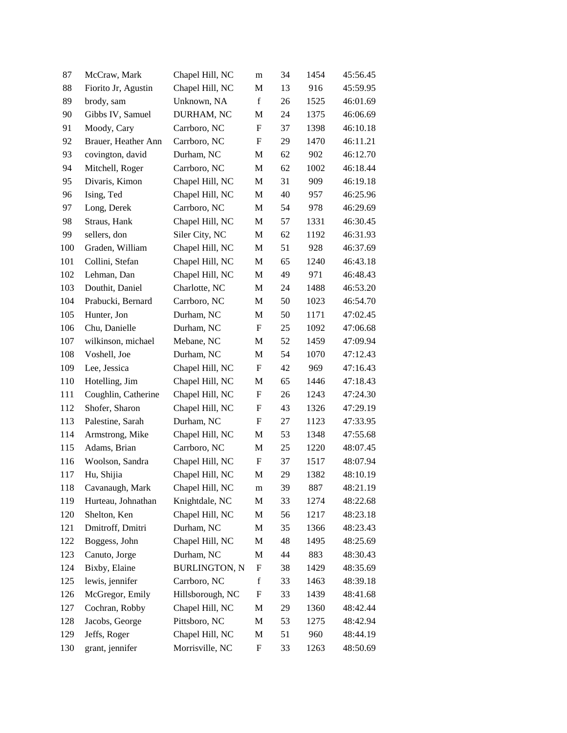| 87  | McCraw, Mark        | Chapel Hill, NC      | m                         | 34 | 1454 | 45:56.45 |
|-----|---------------------|----------------------|---------------------------|----|------|----------|
| 88  | Fiorito Jr, Agustin | Chapel Hill, NC      | M                         | 13 | 916  | 45:59.95 |
| 89  | brody, sam          | Unknown, NA          | f                         | 26 | 1525 | 46:01.69 |
| 90  | Gibbs IV, Samuel    | DURHAM, NC           | М                         | 24 | 1375 | 46:06.69 |
| 91  | Moody, Cary         | Carrboro, NC         | F                         | 37 | 1398 | 46:10.18 |
| 92  | Brauer, Heather Ann | Carrboro, NC         | $\boldsymbol{\mathrm{F}}$ | 29 | 1470 | 46:11.21 |
| 93  | covington, david    | Durham, NC           | M                         | 62 | 902  | 46:12.70 |
| 94  | Mitchell, Roger     | Carrboro, NC         | M                         | 62 | 1002 | 46:18.44 |
| 95  | Divaris, Kimon      | Chapel Hill, NC      | M                         | 31 | 909  | 46:19.18 |
| 96  | Ising, Ted          | Chapel Hill, NC      | M                         | 40 | 957  | 46:25.96 |
| 97  | Long, Derek         | Carrboro, NC         | M                         | 54 | 978  | 46:29.69 |
| 98  | Straus, Hank        | Chapel Hill, NC      | M                         | 57 | 1331 | 46:30.45 |
| 99  | sellers, don        | Siler City, NC       | M                         | 62 | 1192 | 46:31.93 |
| 100 | Graden, William     | Chapel Hill, NC      | M                         | 51 | 928  | 46:37.69 |
| 101 | Collini, Stefan     | Chapel Hill, NC      | M                         | 65 | 1240 | 46:43.18 |
| 102 | Lehman, Dan         | Chapel Hill, NC      | M                         | 49 | 971  | 46:48.43 |
| 103 | Douthit, Daniel     | Charlotte, NC        | M                         | 24 | 1488 | 46:53.20 |
| 104 | Prabucki, Bernard   | Carrboro, NC         | M                         | 50 | 1023 | 46:54.70 |
| 105 | Hunter, Jon         | Durham, NC           | M                         | 50 | 1171 | 47:02.45 |
| 106 | Chu, Danielle       | Durham, NC           | F                         | 25 | 1092 | 47:06.68 |
| 107 | wilkinson, michael  | Mebane, NC           | M                         | 52 | 1459 | 47:09.94 |
| 108 | Voshell, Joe        | Durham, NC           | M                         | 54 | 1070 | 47:12.43 |
| 109 | Lee, Jessica        | Chapel Hill, NC      | ${\rm F}$                 | 42 | 969  | 47:16.43 |
| 110 | Hotelling, Jim      | Chapel Hill, NC      | М                         | 65 | 1446 | 47:18.43 |
| 111 | Coughlin, Catherine | Chapel Hill, NC      | F                         | 26 | 1243 | 47:24.30 |
| 112 | Shofer, Sharon      | Chapel Hill, NC      | ${\rm F}$                 | 43 | 1326 | 47:29.19 |
| 113 | Palestine, Sarah    | Durham, NC           | F                         | 27 | 1123 | 47:33.95 |
| 114 | Armstrong, Mike     | Chapel Hill, NC      | M                         | 53 | 1348 | 47:55.68 |
| 115 | Adams, Brian        | Carrboro, NC         | M                         | 25 | 1220 | 48:07.45 |
| 116 | Woolson, Sandra     | Chapel Hill, NC      | F                         | 37 | 1517 | 48:07.94 |
| 117 | Hu, Shijia          | Chapel Hill, NC      | М                         | 29 | 1382 | 48:10.19 |
| 118 | Cavanaugh, Mark     | Chapel Hill, NC      | m                         | 39 | 887  | 48:21.19 |
| 119 | Hurteau, Johnathan  | Knightdale, NC       | $\mathbf M$               | 33 | 1274 | 48:22.68 |
| 120 | Shelton, Ken        | Chapel Hill, NC      | M                         | 56 | 1217 | 48:23.18 |
| 121 | Dmitroff, Dmitri    | Durham, NC           | M                         | 35 | 1366 | 48:23.43 |
| 122 | Boggess, John       | Chapel Hill, NC      | M                         | 48 | 1495 | 48:25.69 |
| 123 | Canuto, Jorge       | Durham, NC           | M                         | 44 | 883  | 48:30.43 |
| 124 | Bixby, Elaine       | <b>BURLINGTON, N</b> | ${\rm F}$                 | 38 | 1429 | 48:35.69 |
| 125 | lewis, jennifer     | Carrboro, NC         | $\mathbf f$               | 33 | 1463 | 48:39.18 |
| 126 | McGregor, Emily     | Hillsborough, NC     | ${\rm F}$                 | 33 | 1439 | 48:41.68 |
| 127 | Cochran, Robby      | Chapel Hill, NC      | M                         | 29 | 1360 | 48:42.44 |
| 128 | Jacobs, George      | Pittsboro, NC        | M                         | 53 | 1275 | 48:42.94 |
| 129 | Jeffs, Roger        | Chapel Hill, NC      | M                         | 51 | 960  | 48:44.19 |
| 130 | grant, jennifer     | Morrisville, NC      | ${\rm F}$                 | 33 | 1263 | 48:50.69 |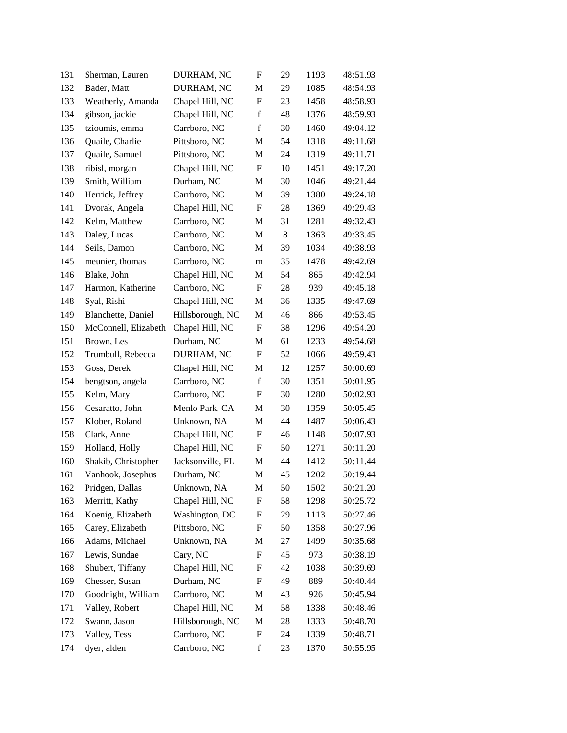| 131 | Sherman, Lauren      | DURHAM, NC       | $\mathbf F$               | 29 | 1193 | 48:51.93 |
|-----|----------------------|------------------|---------------------------|----|------|----------|
| 132 | Bader, Matt          | DURHAM, NC       | M                         | 29 | 1085 | 48:54.93 |
| 133 | Weatherly, Amanda    | Chapel Hill, NC  | ${\bf F}$                 | 23 | 1458 | 48:58.93 |
| 134 | gibson, jackie       | Chapel Hill, NC  | $\mathbf f$               | 48 | 1376 | 48:59.93 |
| 135 | tzioumis, emma       | Carrboro, NC     | $\mathbf f$               | 30 | 1460 | 49:04.12 |
| 136 | Quaile, Charlie      | Pittsboro, NC    | M                         | 54 | 1318 | 49:11.68 |
| 137 | Quaile, Samuel       | Pittsboro, NC    | M                         | 24 | 1319 | 49:11.71 |
| 138 | ribisl, morgan       | Chapel Hill, NC  | $\mathbf F$               | 10 | 1451 | 49:17.20 |
| 139 | Smith, William       | Durham, NC       | M                         | 30 | 1046 | 49:21.44 |
| 140 | Herrick, Jeffrey     | Carrboro, NC     | M                         | 39 | 1380 | 49:24.18 |
| 141 | Dvorak, Angela       | Chapel Hill, NC  | $\boldsymbol{\mathrm{F}}$ | 28 | 1369 | 49:29.43 |
| 142 | Kelm, Matthew        | Carrboro, NC     | M                         | 31 | 1281 | 49:32.43 |
| 143 | Daley, Lucas         | Carrboro, NC     | М                         | 8  | 1363 | 49:33.45 |
| 144 | Seils, Damon         | Carrboro, NC     | M                         | 39 | 1034 | 49:38.93 |
| 145 | meunier, thomas      | Carrboro, NC     | m                         | 35 | 1478 | 49:42.69 |
| 146 | Blake, John          | Chapel Hill, NC  | M                         | 54 | 865  | 49:42.94 |
| 147 | Harmon, Katherine    | Carrboro, NC     | F                         | 28 | 939  | 49:45.18 |
| 148 | Syal, Rishi          | Chapel Hill, NC  | M                         | 36 | 1335 | 49:47.69 |
| 149 | Blanchette, Daniel   | Hillsborough, NC | M                         | 46 | 866  | 49:53.45 |
| 150 | McConnell, Elizabeth | Chapel Hill, NC  | F                         | 38 | 1296 | 49:54.20 |
| 151 | Brown, Les           | Durham, NC       | M                         | 61 | 1233 | 49:54.68 |
| 152 | Trumbull, Rebecca    | DURHAM, NC       | F                         | 52 | 1066 | 49:59.43 |
| 153 | Goss, Derek          | Chapel Hill, NC  | M                         | 12 | 1257 | 50:00.69 |
| 154 | bengtson, angela     | Carrboro, NC     | $\mathbf f$               | 30 | 1351 | 50:01.95 |
| 155 | Kelm, Mary           | Carrboro, NC     | F                         | 30 | 1280 | 50:02.93 |
| 156 | Cesaratto, John      | Menlo Park, CA   | M                         | 30 | 1359 | 50:05.45 |
| 157 | Klober, Roland       | Unknown, NA      | М                         | 44 | 1487 | 50:06.43 |
| 158 | Clark, Anne          | Chapel Hill, NC  | F                         | 46 | 1148 | 50:07.93 |
| 159 | Holland, Holly       | Chapel Hill, NC  | F                         | 50 | 1271 | 50:11.20 |
| 160 | Shakib, Christopher  | Jacksonville, FL | M                         | 44 | 1412 | 50:11.44 |
| 161 | Vanhook, Josephus    | Durham, NC       | M                         | 45 | 1202 | 50:19.44 |
| 162 | Pridgen, Dallas      | Unknown, NA      | М                         | 50 | 1502 | 50:21.20 |
| 163 | Merritt, Kathy       | Chapel Hill, NC  | F                         | 58 | 1298 | 50:25.72 |
| 164 | Koenig, Elizabeth    | Washington, DC   | F                         | 29 | 1113 | 50:27.46 |
| 165 | Carey, Elizabeth     | Pittsboro, NC    | F                         | 50 | 1358 | 50:27.96 |
| 166 | Adams, Michael       | Unknown, NA      | M                         | 27 | 1499 | 50:35.68 |
| 167 | Lewis, Sundae        | Cary, NC         | F                         | 45 | 973  | 50:38.19 |
| 168 | Shubert, Tiffany     | Chapel Hill, NC  | F                         | 42 | 1038 | 50:39.69 |
| 169 | Chesser, Susan       | Durham, NC       | F                         | 49 | 889  | 50:40.44 |
| 170 | Goodnight, William   | Carrboro, NC     | M                         | 43 | 926  | 50:45.94 |
| 171 | Valley, Robert       | Chapel Hill, NC  | M                         | 58 | 1338 | 50:48.46 |
| 172 | Swann, Jason         | Hillsborough, NC | M                         | 28 | 1333 | 50:48.70 |
| 173 | Valley, Tess         | Carrboro, NC     | ${\rm F}$                 | 24 | 1339 | 50:48.71 |
| 174 | dyer, alden          | Carrboro, NC     | $\mathbf f$               | 23 | 1370 | 50:55.95 |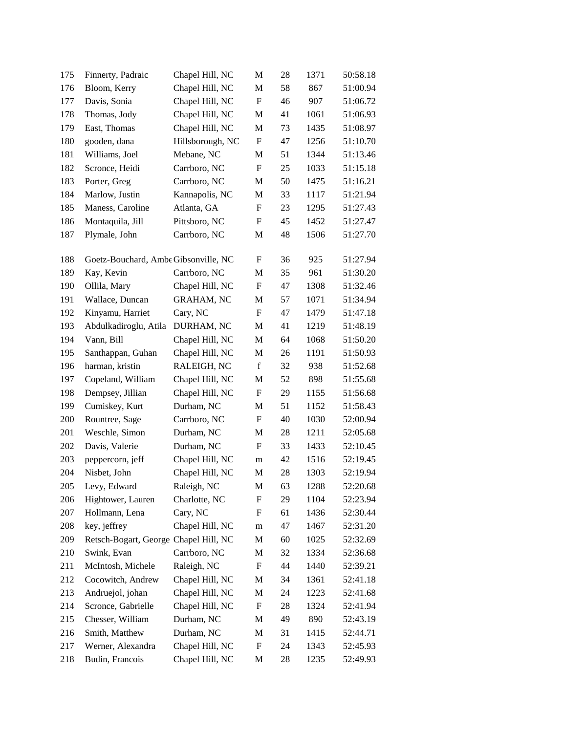| 175 | Finnerty, Padraic                     | Chapel Hill, NC   | M                         | 28 | 1371 | 50:58.18 |
|-----|---------------------------------------|-------------------|---------------------------|----|------|----------|
| 176 | Bloom, Kerry                          | Chapel Hill, NC   | М                         | 58 | 867  | 51:00.94 |
| 177 | Davis, Sonia                          | Chapel Hill, NC   | $\boldsymbol{\mathrm{F}}$ | 46 | 907  | 51:06.72 |
| 178 | Thomas, Jody                          | Chapel Hill, NC   | M                         | 41 | 1061 | 51:06.93 |
| 179 | East, Thomas                          | Chapel Hill, NC   | M                         | 73 | 1435 | 51:08.97 |
| 180 | gooden, dana                          | Hillsborough, NC  | $\boldsymbol{\mathrm{F}}$ | 47 | 1256 | 51:10.70 |
| 181 | Williams, Joel                        | Mebane, NC        | M                         | 51 | 1344 | 51:13.46 |
| 182 | Scronce, Heidi                        | Carrboro, NC      | $\boldsymbol{\mathrm{F}}$ | 25 | 1033 | 51:15.18 |
| 183 | Porter, Greg                          | Carrboro, NC      | M                         | 50 | 1475 | 51:16.21 |
| 184 | Marlow, Justin                        | Kannapolis, NC    | М                         | 33 | 1117 | 51:21.94 |
| 185 | Maness, Caroline                      | Atlanta, GA       | $\mathbf F$               | 23 | 1295 | 51:27.43 |
| 186 | Montaquila, Jill                      | Pittsboro, NC     | F                         | 45 | 1452 | 51:27.47 |
| 187 | Plymale, John                         | Carrboro, NC      | M                         | 48 | 1506 | 51:27.70 |
| 188 | Goetz-Bouchard, Ambe Gibsonville, NC  |                   | F                         | 36 | 925  | 51:27.94 |
| 189 | Kay, Kevin                            | Carrboro, NC      | M                         | 35 | 961  | 51:30.20 |
| 190 | Ollila, Mary                          | Chapel Hill, NC   | F                         | 47 | 1308 | 51:32.46 |
| 191 | Wallace, Duncan                       | <b>GRAHAM, NC</b> | М                         | 57 | 1071 | 51:34.94 |
| 192 | Kinyamu, Harriet                      | Cary, NC          | $\boldsymbol{\mathrm{F}}$ | 47 | 1479 | 51:47.18 |
| 193 | Abdulkadiroglu, Atila                 | DURHAM, NC        | M                         | 41 | 1219 | 51:48.19 |
| 194 | Vann, Bill                            | Chapel Hill, NC   | M                         | 64 | 1068 | 51:50.20 |
| 195 | Santhappan, Guhan                     | Chapel Hill, NC   | M                         | 26 | 1191 | 51:50.93 |
| 196 | harman, kristin                       | RALEIGH, NC       | f                         | 32 | 938  | 51:52.68 |
| 197 | Copeland, William                     | Chapel Hill, NC   | M                         | 52 | 898  | 51:55.68 |
| 198 | Dempsey, Jillian                      | Chapel Hill, NC   | F                         | 29 | 1155 | 51:56.68 |
| 199 | Cumiskey, Kurt                        | Durham, NC        | M                         | 51 | 1152 | 51:58.43 |
| 200 | Rountree, Sage                        | Carrboro, NC      | $\mathbf F$               | 40 | 1030 | 52:00.94 |
| 201 | Weschle, Simon                        | Durham, NC        | М                         | 28 | 1211 | 52:05.68 |
| 202 | Davis, Valerie                        | Durham, NC        | F                         | 33 | 1433 | 52:10.45 |
| 203 | peppercorn, jeff                      | Chapel Hill, NC   | m                         | 42 | 1516 | 52:19.45 |
| 204 | Nisbet, John                          | Chapel Hill, NC   | M                         | 28 | 1303 | 52:19.94 |
| 205 | Levy, Edward                          | Raleigh, NC       | M                         | 63 | 1288 | 52:20.68 |
| 206 | Hightower, Lauren                     | Charlotte, NC     | F                         | 29 | 1104 | 52:23.94 |
| 207 | Hollmann, Lena                        | Cary, NC          | F                         | 61 | 1436 | 52:30.44 |
| 208 | key, jeffrey                          | Chapel Hill, NC   | m                         | 47 | 1467 | 52:31.20 |
| 209 | Retsch-Bogart, George Chapel Hill, NC |                   | M                         | 60 | 1025 | 52:32.69 |
| 210 | Swink, Evan                           | Carrboro, NC      | M                         | 32 | 1334 | 52:36.68 |
| 211 | McIntosh, Michele                     | Raleigh, NC       | F                         | 44 | 1440 | 52:39.21 |
| 212 | Cocowitch, Andrew                     | Chapel Hill, NC   | M                         | 34 | 1361 | 52:41.18 |
| 213 | Andruejol, johan                      | Chapel Hill, NC   | M                         | 24 | 1223 | 52:41.68 |
| 214 | Scronce, Gabrielle                    | Chapel Hill, NC   | $\boldsymbol{\mathrm{F}}$ | 28 | 1324 | 52:41.94 |
| 215 | Chesser, William                      | Durham, NC        | M                         | 49 | 890  | 52:43.19 |
| 216 | Smith, Matthew                        | Durham, NC        | M                         | 31 | 1415 | 52:44.71 |
| 217 | Werner, Alexandra                     | Chapel Hill, NC   | ${\rm F}$                 | 24 | 1343 | 52:45.93 |
| 218 | Budin, Francois                       | Chapel Hill, NC   | M                         | 28 | 1235 | 52:49.93 |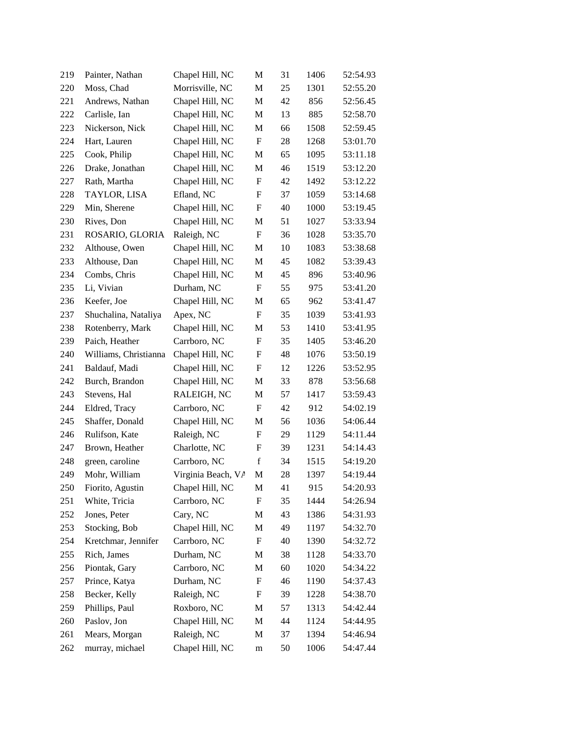| 219 | Painter, Nathan       | Chapel Hill, NC    | M                         | 31 | 1406 | 52:54.93 |
|-----|-----------------------|--------------------|---------------------------|----|------|----------|
| 220 | Moss, Chad            | Morrisville, NC    | M                         | 25 | 1301 | 52:55.20 |
| 221 | Andrews, Nathan       | Chapel Hill, NC    | M                         | 42 | 856  | 52:56.45 |
| 222 | Carlisle, Ian         | Chapel Hill, NC    | M                         | 13 | 885  | 52:58.70 |
| 223 | Nickerson, Nick       | Chapel Hill, NC    | M                         | 66 | 1508 | 52:59.45 |
| 224 | Hart, Lauren          | Chapel Hill, NC    | $\boldsymbol{\mathrm{F}}$ | 28 | 1268 | 53:01.70 |
| 225 | Cook, Philip          | Chapel Hill, NC    | M                         | 65 | 1095 | 53:11.18 |
| 226 | Drake, Jonathan       | Chapel Hill, NC    | M                         | 46 | 1519 | 53:12.20 |
| 227 | Rath, Martha          | Chapel Hill, NC    | F                         | 42 | 1492 | 53:12.22 |
| 228 | TAYLOR, LISA          | Efland, NC         | F                         | 37 | 1059 | 53:14.68 |
| 229 | Min, Sherene          | Chapel Hill, NC    | F                         | 40 | 1000 | 53:19.45 |
| 230 | Rives, Don            | Chapel Hill, NC    | M                         | 51 | 1027 | 53:33.94 |
| 231 | ROSARIO, GLORIA       | Raleigh, NC        | ${\bf F}$                 | 36 | 1028 | 53:35.70 |
| 232 | Althouse, Owen        | Chapel Hill, NC    | M                         | 10 | 1083 | 53:38.68 |
| 233 | Althouse, Dan         | Chapel Hill, NC    | M                         | 45 | 1082 | 53:39.43 |
| 234 | Combs, Chris          | Chapel Hill, NC    | M                         | 45 | 896  | 53:40.96 |
| 235 | Li, Vivian            | Durham, NC         | F                         | 55 | 975  | 53:41.20 |
| 236 | Keefer, Joe           | Chapel Hill, NC    | M                         | 65 | 962  | 53:41.47 |
| 237 | Shuchalina, Nataliya  | Apex, NC           | F                         | 35 | 1039 | 53:41.93 |
| 238 | Rotenberry, Mark      | Chapel Hill, NC    | M                         | 53 | 1410 | 53:41.95 |
| 239 | Paich, Heather        | Carrboro, NC       | F                         | 35 | 1405 | 53:46.20 |
| 240 | Williams, Christianna | Chapel Hill, NC    | F                         | 48 | 1076 | 53:50.19 |
| 241 | Baldauf, Madi         | Chapel Hill, NC    | F                         | 12 | 1226 | 53:52.95 |
| 242 | Burch, Brandon        | Chapel Hill, NC    | M                         | 33 | 878  | 53:56.68 |
| 243 | Stevens, Hal          | RALEIGH, NC        | M                         | 57 | 1417 | 53:59.43 |
| 244 | Eldred, Tracy         | Carrboro, NC       | F                         | 42 | 912  | 54:02.19 |
| 245 | Shaffer, Donald       | Chapel Hill, NC    | М                         | 56 | 1036 | 54:06.44 |
| 246 | Rulifson, Kate        | Raleigh, NC        | F                         | 29 | 1129 | 54:11.44 |
| 247 | Brown, Heather        | Charlotte, NC      | F                         | 39 | 1231 | 54:14.43 |
| 248 | green, caroline       | Carrboro, NC       | $\mathbf f$               | 34 | 1515 | 54:19.20 |
| 249 | Mohr, William         | Virginia Beach, VA | M                         | 28 | 1397 | 54:19.44 |
| 250 | Fiorito, Agustin      | Chapel Hill, NC    | М                         | 41 | 915  | 54:20.93 |
| 251 | White, Tricia         | Carrboro, NC       | F                         | 35 | 1444 | 54:26.94 |
| 252 | Jones, Peter          | Cary, NC           | M                         | 43 | 1386 | 54:31.93 |
| 253 | Stocking, Bob         | Chapel Hill, NC    | M                         | 49 | 1197 | 54:32.70 |
| 254 | Kretchmar, Jennifer   | Carrboro, NC       | ${\rm F}$                 | 40 | 1390 | 54:32.72 |
| 255 | Rich, James           | Durham, NC         | M                         | 38 | 1128 | 54:33.70 |
| 256 | Piontak, Gary         | Carrboro, NC       | M                         | 60 | 1020 | 54:34.22 |
| 257 | Prince, Katya         | Durham, NC         | ${\rm F}$                 | 46 | 1190 | 54:37.43 |
| 258 | Becker, Kelly         | Raleigh, NC        | F                         | 39 | 1228 | 54:38.70 |
| 259 | Phillips, Paul        | Roxboro, NC        | M                         | 57 | 1313 | 54:42.44 |
| 260 | Paslov, Jon           | Chapel Hill, NC    | M                         | 44 | 1124 | 54:44.95 |
| 261 | Mears, Morgan         | Raleigh, NC        | M                         | 37 | 1394 | 54:46.94 |
| 262 | murray, michael       | Chapel Hill, NC    | m                         | 50 | 1006 | 54:47.44 |
|     |                       |                    |                           |    |      |          |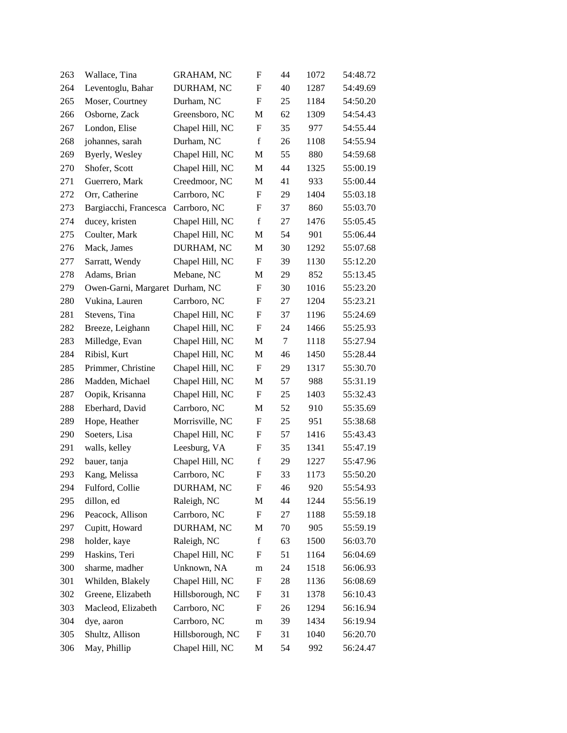| 54:49.69<br>264<br>Leventoglu, Bahar<br>DURHAM, NC<br>F<br>40<br>1287<br>$\boldsymbol{\mathrm{F}}$<br>265<br>Moser, Courtney<br>Durham, NC<br>25<br>54:50.20<br>1184<br>Osborne, Zack<br>Greensboro, NC<br>62<br>54:54.43<br>266<br>M<br>1309<br>35<br>54:55.44<br>267<br>London, Elise<br>Chapel Hill, NC<br>F<br>977<br>$\mathbf f$<br>Durham, NC<br>54:55.94<br>268<br>johannes, sarah<br>26<br>1108<br>55<br>269<br>Byerly, Wesley<br>M<br>880<br>54:59.68<br>Chapel Hill, NC<br>44<br>270<br>Shofer, Scott<br>Chapel Hill, NC<br>M<br>1325<br>55:00.19<br>Creedmoor, NC<br>41<br>55:00.44<br>271<br>Guerrero, Mark<br>M<br>933<br>55:03.18<br>272<br>Orr, Catherine<br>Carrboro, NC<br>F<br>29<br>1404<br>Bargiacchi, Francesca<br>Carrboro, NC<br>F<br>37<br>860<br>55:03.70<br>273<br>$\mathbf f$<br>274<br>ducey, kristen<br>27<br>1476<br>55:05.45<br>Chapel Hill, NC<br>275<br>Coulter, Mark<br>Chapel Hill, NC<br>M<br>54<br>901<br>55:06.44<br>Mack, James<br>DURHAM, NC<br>30<br>55:07.68<br>276<br>M<br>1292<br>39<br>277<br>Sarratt, Wendy<br>Chapel Hill, NC<br>F<br>55:12.20<br>1130<br>Mebane, NC<br>Adams, Brian<br>29<br>852<br>55:13.45<br>278<br>M<br>279<br>Owen-Garni, Margaret Durham, NC<br>F<br>30<br>1016<br>55:23.20<br>280<br>Vukina, Lauren<br>Carrboro, NC<br>F<br>27<br>1204<br>55:23.21<br>281<br>Stevens, Tina<br>Chapel Hill, NC<br>F<br>55:24.69<br>37<br>1196<br>282<br>Chapel Hill, NC<br>F<br>24<br>1466<br>55:25.93<br>Breeze, Leighann<br>$\tau$<br>283<br>Milledge, Evan<br>Chapel Hill, NC<br>55:27.94<br>M<br>1118<br>Ribisl, Kurt<br>55:28.44<br>284<br>Chapel Hill, NC<br>M<br>46<br>1450<br>$\boldsymbol{\mathrm{F}}$<br>285<br>Primmer, Christine<br>Chapel Hill, NC<br>29<br>55:30.70<br>1317<br>Madden, Michael<br>57<br>55:31.19<br>286<br>Chapel Hill, NC<br>M<br>988<br>287<br>Oopik, Krisanna<br>F<br>25<br>1403<br>55:32.43<br>Chapel Hill, NC<br>Eberhard, David<br>52<br>288<br>Carrboro, NC<br>55:35.69<br>M<br>910 |
|--------------------------------------------------------------------------------------------------------------------------------------------------------------------------------------------------------------------------------------------------------------------------------------------------------------------------------------------------------------------------------------------------------------------------------------------------------------------------------------------------------------------------------------------------------------------------------------------------------------------------------------------------------------------------------------------------------------------------------------------------------------------------------------------------------------------------------------------------------------------------------------------------------------------------------------------------------------------------------------------------------------------------------------------------------------------------------------------------------------------------------------------------------------------------------------------------------------------------------------------------------------------------------------------------------------------------------------------------------------------------------------------------------------------------------------------------------------------------------------------------------------------------------------------------------------------------------------------------------------------------------------------------------------------------------------------------------------------------------------------------------------------------------------------------------------------------------------------------------------------------------------------------------------------------------------------------------------------------------|
|                                                                                                                                                                                                                                                                                                                                                                                                                                                                                                                                                                                                                                                                                                                                                                                                                                                                                                                                                                                                                                                                                                                                                                                                                                                                                                                                                                                                                                                                                                                                                                                                                                                                                                                                                                                                                                                                                                                                                                                |
|                                                                                                                                                                                                                                                                                                                                                                                                                                                                                                                                                                                                                                                                                                                                                                                                                                                                                                                                                                                                                                                                                                                                                                                                                                                                                                                                                                                                                                                                                                                                                                                                                                                                                                                                                                                                                                                                                                                                                                                |
|                                                                                                                                                                                                                                                                                                                                                                                                                                                                                                                                                                                                                                                                                                                                                                                                                                                                                                                                                                                                                                                                                                                                                                                                                                                                                                                                                                                                                                                                                                                                                                                                                                                                                                                                                                                                                                                                                                                                                                                |
|                                                                                                                                                                                                                                                                                                                                                                                                                                                                                                                                                                                                                                                                                                                                                                                                                                                                                                                                                                                                                                                                                                                                                                                                                                                                                                                                                                                                                                                                                                                                                                                                                                                                                                                                                                                                                                                                                                                                                                                |
|                                                                                                                                                                                                                                                                                                                                                                                                                                                                                                                                                                                                                                                                                                                                                                                                                                                                                                                                                                                                                                                                                                                                                                                                                                                                                                                                                                                                                                                                                                                                                                                                                                                                                                                                                                                                                                                                                                                                                                                |
|                                                                                                                                                                                                                                                                                                                                                                                                                                                                                                                                                                                                                                                                                                                                                                                                                                                                                                                                                                                                                                                                                                                                                                                                                                                                                                                                                                                                                                                                                                                                                                                                                                                                                                                                                                                                                                                                                                                                                                                |
|                                                                                                                                                                                                                                                                                                                                                                                                                                                                                                                                                                                                                                                                                                                                                                                                                                                                                                                                                                                                                                                                                                                                                                                                                                                                                                                                                                                                                                                                                                                                                                                                                                                                                                                                                                                                                                                                                                                                                                                |
|                                                                                                                                                                                                                                                                                                                                                                                                                                                                                                                                                                                                                                                                                                                                                                                                                                                                                                                                                                                                                                                                                                                                                                                                                                                                                                                                                                                                                                                                                                                                                                                                                                                                                                                                                                                                                                                                                                                                                                                |
|                                                                                                                                                                                                                                                                                                                                                                                                                                                                                                                                                                                                                                                                                                                                                                                                                                                                                                                                                                                                                                                                                                                                                                                                                                                                                                                                                                                                                                                                                                                                                                                                                                                                                                                                                                                                                                                                                                                                                                                |
|                                                                                                                                                                                                                                                                                                                                                                                                                                                                                                                                                                                                                                                                                                                                                                                                                                                                                                                                                                                                                                                                                                                                                                                                                                                                                                                                                                                                                                                                                                                                                                                                                                                                                                                                                                                                                                                                                                                                                                                |
|                                                                                                                                                                                                                                                                                                                                                                                                                                                                                                                                                                                                                                                                                                                                                                                                                                                                                                                                                                                                                                                                                                                                                                                                                                                                                                                                                                                                                                                                                                                                                                                                                                                                                                                                                                                                                                                                                                                                                                                |
|                                                                                                                                                                                                                                                                                                                                                                                                                                                                                                                                                                                                                                                                                                                                                                                                                                                                                                                                                                                                                                                                                                                                                                                                                                                                                                                                                                                                                                                                                                                                                                                                                                                                                                                                                                                                                                                                                                                                                                                |
|                                                                                                                                                                                                                                                                                                                                                                                                                                                                                                                                                                                                                                                                                                                                                                                                                                                                                                                                                                                                                                                                                                                                                                                                                                                                                                                                                                                                                                                                                                                                                                                                                                                                                                                                                                                                                                                                                                                                                                                |
|                                                                                                                                                                                                                                                                                                                                                                                                                                                                                                                                                                                                                                                                                                                                                                                                                                                                                                                                                                                                                                                                                                                                                                                                                                                                                                                                                                                                                                                                                                                                                                                                                                                                                                                                                                                                                                                                                                                                                                                |
|                                                                                                                                                                                                                                                                                                                                                                                                                                                                                                                                                                                                                                                                                                                                                                                                                                                                                                                                                                                                                                                                                                                                                                                                                                                                                                                                                                                                                                                                                                                                                                                                                                                                                                                                                                                                                                                                                                                                                                                |
|                                                                                                                                                                                                                                                                                                                                                                                                                                                                                                                                                                                                                                                                                                                                                                                                                                                                                                                                                                                                                                                                                                                                                                                                                                                                                                                                                                                                                                                                                                                                                                                                                                                                                                                                                                                                                                                                                                                                                                                |
|                                                                                                                                                                                                                                                                                                                                                                                                                                                                                                                                                                                                                                                                                                                                                                                                                                                                                                                                                                                                                                                                                                                                                                                                                                                                                                                                                                                                                                                                                                                                                                                                                                                                                                                                                                                                                                                                                                                                                                                |
|                                                                                                                                                                                                                                                                                                                                                                                                                                                                                                                                                                                                                                                                                                                                                                                                                                                                                                                                                                                                                                                                                                                                                                                                                                                                                                                                                                                                                                                                                                                                                                                                                                                                                                                                                                                                                                                                                                                                                                                |
|                                                                                                                                                                                                                                                                                                                                                                                                                                                                                                                                                                                                                                                                                                                                                                                                                                                                                                                                                                                                                                                                                                                                                                                                                                                                                                                                                                                                                                                                                                                                                                                                                                                                                                                                                                                                                                                                                                                                                                                |
|                                                                                                                                                                                                                                                                                                                                                                                                                                                                                                                                                                                                                                                                                                                                                                                                                                                                                                                                                                                                                                                                                                                                                                                                                                                                                                                                                                                                                                                                                                                                                                                                                                                                                                                                                                                                                                                                                                                                                                                |
|                                                                                                                                                                                                                                                                                                                                                                                                                                                                                                                                                                                                                                                                                                                                                                                                                                                                                                                                                                                                                                                                                                                                                                                                                                                                                                                                                                                                                                                                                                                                                                                                                                                                                                                                                                                                                                                                                                                                                                                |
|                                                                                                                                                                                                                                                                                                                                                                                                                                                                                                                                                                                                                                                                                                                                                                                                                                                                                                                                                                                                                                                                                                                                                                                                                                                                                                                                                                                                                                                                                                                                                                                                                                                                                                                                                                                                                                                                                                                                                                                |
|                                                                                                                                                                                                                                                                                                                                                                                                                                                                                                                                                                                                                                                                                                                                                                                                                                                                                                                                                                                                                                                                                                                                                                                                                                                                                                                                                                                                                                                                                                                                                                                                                                                                                                                                                                                                                                                                                                                                                                                |
|                                                                                                                                                                                                                                                                                                                                                                                                                                                                                                                                                                                                                                                                                                                                                                                                                                                                                                                                                                                                                                                                                                                                                                                                                                                                                                                                                                                                                                                                                                                                                                                                                                                                                                                                                                                                                                                                                                                                                                                |
|                                                                                                                                                                                                                                                                                                                                                                                                                                                                                                                                                                                                                                                                                                                                                                                                                                                                                                                                                                                                                                                                                                                                                                                                                                                                                                                                                                                                                                                                                                                                                                                                                                                                                                                                                                                                                                                                                                                                                                                |
| 289<br>Hope, Heather<br>Morrisville, NC<br>F<br>25<br>951<br>55:38.68                                                                                                                                                                                                                                                                                                                                                                                                                                                                                                                                                                                                                                                                                                                                                                                                                                                                                                                                                                                                                                                                                                                                                                                                                                                                                                                                                                                                                                                                                                                                                                                                                                                                                                                                                                                                                                                                                                          |
| 290<br>Soeters, Lisa<br>Chapel Hill, NC<br>F<br>57<br>1416<br>55:43.43                                                                                                                                                                                                                                                                                                                                                                                                                                                                                                                                                                                                                                                                                                                                                                                                                                                                                                                                                                                                                                                                                                                                                                                                                                                                                                                                                                                                                                                                                                                                                                                                                                                                                                                                                                                                                                                                                                         |
| 291<br>Leesburg, VA<br>F<br>walls, kelley<br>35<br>1341<br>55:47.19                                                                                                                                                                                                                                                                                                                                                                                                                                                                                                                                                                                                                                                                                                                                                                                                                                                                                                                                                                                                                                                                                                                                                                                                                                                                                                                                                                                                                                                                                                                                                                                                                                                                                                                                                                                                                                                                                                            |
| $\mathbf f$<br>292<br>Chapel Hill, NC<br>29<br>1227<br>55:47.96<br>bauer, tanja                                                                                                                                                                                                                                                                                                                                                                                                                                                                                                                                                                                                                                                                                                                                                                                                                                                                                                                                                                                                                                                                                                                                                                                                                                                                                                                                                                                                                                                                                                                                                                                                                                                                                                                                                                                                                                                                                                |
| 55:50.20<br>293<br>Kang, Melissa<br>Carrboro, NC<br>F<br>33<br>1173                                                                                                                                                                                                                                                                                                                                                                                                                                                                                                                                                                                                                                                                                                                                                                                                                                                                                                                                                                                                                                                                                                                                                                                                                                                                                                                                                                                                                                                                                                                                                                                                                                                                                                                                                                                                                                                                                                            |
| Fulford, Collie<br>DURHAM, NC<br>55:54.93<br>294<br>F<br>46<br>920                                                                                                                                                                                                                                                                                                                                                                                                                                                                                                                                                                                                                                                                                                                                                                                                                                                                                                                                                                                                                                                                                                                                                                                                                                                                                                                                                                                                                                                                                                                                                                                                                                                                                                                                                                                                                                                                                                             |
| 295<br>dillon, ed<br>Raleigh, NC<br>M<br>44<br>1244<br>55:56.19                                                                                                                                                                                                                                                                                                                                                                                                                                                                                                                                                                                                                                                                                                                                                                                                                                                                                                                                                                                                                                                                                                                                                                                                                                                                                                                                                                                                                                                                                                                                                                                                                                                                                                                                                                                                                                                                                                                |
| 296<br>Peacock, Allison<br>Carrboro, NC<br>F<br>27<br>1188<br>55:59.18                                                                                                                                                                                                                                                                                                                                                                                                                                                                                                                                                                                                                                                                                                                                                                                                                                                                                                                                                                                                                                                                                                                                                                                                                                                                                                                                                                                                                                                                                                                                                                                                                                                                                                                                                                                                                                                                                                         |
| 297<br>Cupitt, Howard<br>DURHAM, NC<br>70<br>905<br>М<br>55:59.19                                                                                                                                                                                                                                                                                                                                                                                                                                                                                                                                                                                                                                                                                                                                                                                                                                                                                                                                                                                                                                                                                                                                                                                                                                                                                                                                                                                                                                                                                                                                                                                                                                                                                                                                                                                                                                                                                                              |
| $\mathbf f$<br>298<br>holder, kaye<br>Raleigh, NC<br>63<br>1500<br>56:03.70                                                                                                                                                                                                                                                                                                                                                                                                                                                                                                                                                                                                                                                                                                                                                                                                                                                                                                                                                                                                                                                                                                                                                                                                                                                                                                                                                                                                                                                                                                                                                                                                                                                                                                                                                                                                                                                                                                    |
| Haskins, Teri<br>Chapel Hill, NC<br>299<br>51<br>1164<br>56:04.69<br>F                                                                                                                                                                                                                                                                                                                                                                                                                                                                                                                                                                                                                                                                                                                                                                                                                                                                                                                                                                                                                                                                                                                                                                                                                                                                                                                                                                                                                                                                                                                                                                                                                                                                                                                                                                                                                                                                                                         |
| Unknown, NA<br>300<br>sharme, madher<br>24<br>1518<br>56:06.93<br>m                                                                                                                                                                                                                                                                                                                                                                                                                                                                                                                                                                                                                                                                                                                                                                                                                                                                                                                                                                                                                                                                                                                                                                                                                                                                                                                                                                                                                                                                                                                                                                                                                                                                                                                                                                                                                                                                                                            |
|                                                                                                                                                                                                                                                                                                                                                                                                                                                                                                                                                                                                                                                                                                                                                                                                                                                                                                                                                                                                                                                                                                                                                                                                                                                                                                                                                                                                                                                                                                                                                                                                                                                                                                                                                                                                                                                                                                                                                                                |
| 301<br>Whilden, Blakely<br>Chapel Hill, NC<br>F<br>28<br>1136<br>56:08.69                                                                                                                                                                                                                                                                                                                                                                                                                                                                                                                                                                                                                                                                                                                                                                                                                                                                                                                                                                                                                                                                                                                                                                                                                                                                                                                                                                                                                                                                                                                                                                                                                                                                                                                                                                                                                                                                                                      |
| Greene, Elizabeth<br>Hillsborough, NC<br>31<br>302<br>56:10.43<br>F<br>1378                                                                                                                                                                                                                                                                                                                                                                                                                                                                                                                                                                                                                                                                                                                                                                                                                                                                                                                                                                                                                                                                                                                                                                                                                                                                                                                                                                                                                                                                                                                                                                                                                                                                                                                                                                                                                                                                                                    |
| Macleod, Elizabeth<br>Carrboro, NC<br>303<br>F<br>56:16.94<br>26<br>1294                                                                                                                                                                                                                                                                                                                                                                                                                                                                                                                                                                                                                                                                                                                                                                                                                                                                                                                                                                                                                                                                                                                                                                                                                                                                                                                                                                                                                                                                                                                                                                                                                                                                                                                                                                                                                                                                                                       |
| 304<br>dye, aaron<br>Carrboro, NC<br>39<br>56:19.94<br>1434<br>m                                                                                                                                                                                                                                                                                                                                                                                                                                                                                                                                                                                                                                                                                                                                                                                                                                                                                                                                                                                                                                                                                                                                                                                                                                                                                                                                                                                                                                                                                                                                                                                                                                                                                                                                                                                                                                                                                                               |
| Shultz, Allison<br>31<br>305<br>Hillsborough, NC<br>F<br>1040<br>56:20.70                                                                                                                                                                                                                                                                                                                                                                                                                                                                                                                                                                                                                                                                                                                                                                                                                                                                                                                                                                                                                                                                                                                                                                                                                                                                                                                                                                                                                                                                                                                                                                                                                                                                                                                                                                                                                                                                                                      |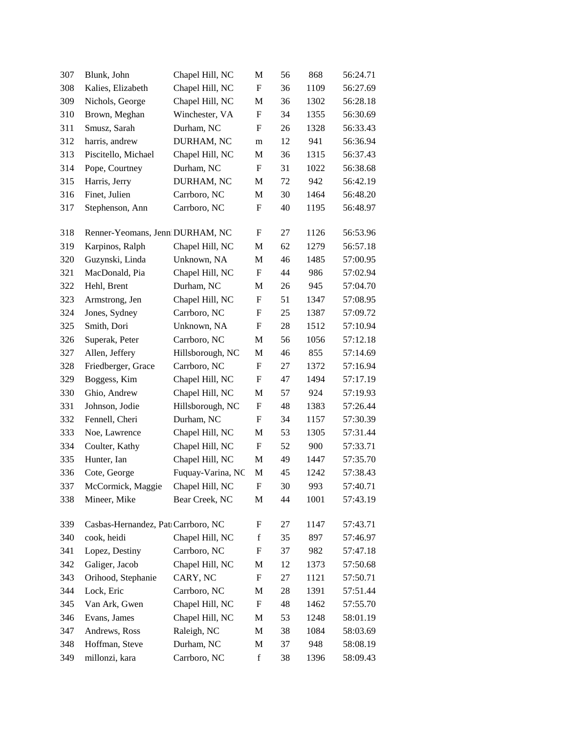| 307 | Blunk, John                         | Chapel Hill, NC   | М                         | 56 | 868  | 56:24.71 |
|-----|-------------------------------------|-------------------|---------------------------|----|------|----------|
| 308 | Kalies, Elizabeth                   | Chapel Hill, NC   | F                         | 36 | 1109 | 56:27.69 |
| 309 | Nichols, George                     | Chapel Hill, NC   | M                         | 36 | 1302 | 56:28.18 |
| 310 | Brown, Meghan                       | Winchester, VA    | F                         | 34 | 1355 | 56:30.69 |
| 311 | Smusz, Sarah                        | Durham, NC        | F                         | 26 | 1328 | 56:33.43 |
| 312 | harris, andrew                      | DURHAM, NC        | m                         | 12 | 941  | 56:36.94 |
| 313 | Piscitello, Michael                 | Chapel Hill, NC   | M                         | 36 | 1315 | 56:37.43 |
| 314 | Pope, Courtney                      | Durham, NC        | $\boldsymbol{\mathrm{F}}$ | 31 | 1022 | 56:38.68 |
| 315 | Harris, Jerry                       | DURHAM, NC        | М                         | 72 | 942  | 56:42.19 |
| 316 | Finet, Julien                       | Carrboro, NC      | M                         | 30 | 1464 | 56:48.20 |
| 317 | Stephenson, Ann                     | Carrboro, NC      | F                         | 40 | 1195 | 56:48.97 |
|     |                                     |                   |                           |    |      |          |
| 318 | Renner-Yeomans, Jenn DURHAM, NC     |                   | F                         | 27 | 1126 | 56:53.96 |
| 319 | Karpinos, Ralph                     | Chapel Hill, NC   | M                         | 62 | 1279 | 56:57.18 |
| 320 | Guzynski, Linda                     | Unknown, NA       | M                         | 46 | 1485 | 57:00.95 |
| 321 | MacDonald, Pia                      | Chapel Hill, NC   | $\boldsymbol{\mathrm{F}}$ | 44 | 986  | 57:02.94 |
| 322 | Hehl, Brent                         | Durham, NC        | M                         | 26 | 945  | 57:04.70 |
| 323 | Armstrong, Jen                      | Chapel Hill, NC   | F                         | 51 | 1347 | 57:08.95 |
| 324 | Jones, Sydney                       | Carrboro, NC      | F                         | 25 | 1387 | 57:09.72 |
| 325 | Smith, Dori                         | Unknown, NA       | F                         | 28 | 1512 | 57:10.94 |
| 326 | Superak, Peter                      | Carrboro, NC      | M                         | 56 | 1056 | 57:12.18 |
| 327 | Allen, Jeffery                      | Hillsborough, NC  | M                         | 46 | 855  | 57:14.69 |
| 328 | Friedberger, Grace                  | Carrboro, NC      | F                         | 27 | 1372 | 57:16.94 |
| 329 | Boggess, Kim                        | Chapel Hill, NC   | F                         | 47 | 1494 | 57:17.19 |
| 330 | Ghio, Andrew                        | Chapel Hill, NC   | M                         | 57 | 924  | 57:19.93 |
| 331 | Johnson, Jodie                      | Hillsborough, NC  | F                         | 48 | 1383 | 57:26.44 |
| 332 | Fennell, Cheri                      | Durham, NC        | F                         | 34 | 1157 | 57:30.39 |
| 333 | Noe, Lawrence                       | Chapel Hill, NC   | M                         | 53 | 1305 | 57:31.44 |
| 334 | Coulter, Kathy                      | Chapel Hill, NC   | F                         | 52 | 900  | 57:33.71 |
| 335 | Hunter, Ian                         | Chapel Hill, NC   | M                         | 49 | 1447 | 57:35.70 |
| 336 | Cote, George                        | Fuquay-Varina, NC | M                         | 45 | 1242 | 57:38.43 |
| 337 | McCormick, Maggie                   | Chapel Hill, NC   | $\boldsymbol{\mathrm{F}}$ | 30 | 993  | 57:40.71 |
| 338 | Mineer, Mike                        | Bear Creek, NC    | M                         | 44 | 1001 | 57:43.19 |
| 339 | Casbas-Hernandez, Patı Carrboro, NC |                   | F                         | 27 | 1147 | 57:43.71 |
| 340 | cook, heidi                         | Chapel Hill, NC   | $\mathbf f$               | 35 | 897  | 57:46.97 |
| 341 | Lopez, Destiny                      | Carrboro, NC      | F                         | 37 | 982  | 57:47.18 |
| 342 | Galiger, Jacob                      | Chapel Hill, NC   | М                         | 12 | 1373 | 57:50.68 |
| 343 | Orihood, Stephanie                  | CARY, NC          | F                         | 27 | 1121 | 57:50.71 |
| 344 | Lock, Eric                          | Carrboro, NC      | M                         | 28 | 1391 | 57:51.44 |
| 345 | Van Ark, Gwen                       | Chapel Hill, NC   | F                         | 48 | 1462 | 57:55.70 |
| 346 | Evans, James                        | Chapel Hill, NC   | M                         | 53 | 1248 | 58:01.19 |
| 347 | Andrews, Ross                       | Raleigh, NC       | M                         | 38 | 1084 | 58:03.69 |
| 348 | Hoffman, Steve                      | Durham, NC        | M                         | 37 | 948  | 58:08.19 |
| 349 | millonzi, kara                      | Carrboro, NC      | $\mathbf f$               | 38 | 1396 | 58:09.43 |
|     |                                     |                   |                           |    |      |          |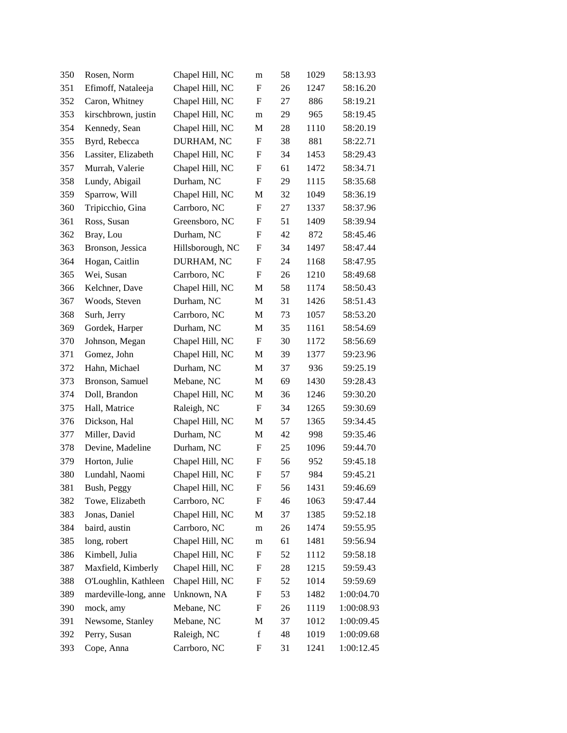| 350 | Rosen, Norm           | Chapel Hill, NC  | m                         | 58 | 1029 | 58:13.93   |
|-----|-----------------------|------------------|---------------------------|----|------|------------|
| 351 | Efimoff, Nataleeja    | Chapel Hill, NC  | F                         | 26 | 1247 | 58:16.20   |
| 352 | Caron, Whitney        | Chapel Hill, NC  | F                         | 27 | 886  | 58:19.21   |
| 353 | kirschbrown, justin   | Chapel Hill, NC  | m                         | 29 | 965  | 58:19.45   |
| 354 | Kennedy, Sean         | Chapel Hill, NC  | M                         | 28 | 1110 | 58:20.19   |
| 355 | Byrd, Rebecca         | DURHAM, NC       | $\mathbf F$               | 38 | 881  | 58:22.71   |
| 356 | Lassiter, Elizabeth   | Chapel Hill, NC  | F                         | 34 | 1453 | 58:29.43   |
| 357 | Murrah, Valerie       | Chapel Hill, NC  | F                         | 61 | 1472 | 58:34.71   |
| 358 | Lundy, Abigail        | Durham, NC       | F                         | 29 | 1115 | 58:35.68   |
| 359 | Sparrow, Will         | Chapel Hill, NC  | М                         | 32 | 1049 | 58:36.19   |
| 360 | Tripicchio, Gina      | Carrboro, NC     | $\mathbf F$               | 27 | 1337 | 58:37.96   |
| 361 | Ross, Susan           | Greensboro, NC   | F                         | 51 | 1409 | 58:39.94   |
| 362 | Bray, Lou             | Durham, NC       | F                         | 42 | 872  | 58:45.46   |
| 363 | Bronson, Jessica      | Hillsborough, NC | F                         | 34 | 1497 | 58:47.44   |
| 364 | Hogan, Caitlin        | DURHAM, NC       | F                         | 24 | 1168 | 58:47.95   |
| 365 | Wei, Susan            | Carrboro, NC     | F                         | 26 | 1210 | 58:49.68   |
| 366 | Kelchner, Dave        | Chapel Hill, NC  | М                         | 58 | 1174 | 58:50.43   |
| 367 | Woods, Steven         | Durham, NC       | М                         | 31 | 1426 | 58:51.43   |
| 368 | Surh, Jerry           | Carrboro, NC     | M                         | 73 | 1057 | 58:53.20   |
| 369 | Gordek, Harper        | Durham, NC       | M                         | 35 | 1161 | 58:54.69   |
| 370 | Johnson, Megan        | Chapel Hill, NC  | $\boldsymbol{\mathrm{F}}$ | 30 | 1172 | 58:56.69   |
| 371 | Gomez, John           | Chapel Hill, NC  | М                         | 39 | 1377 | 59:23.96   |
| 372 | Hahn, Michael         | Durham, NC       | M                         | 37 | 936  | 59:25.19   |
| 373 | Bronson, Samuel       | Mebane, NC       | M                         | 69 | 1430 | 59:28.43   |
| 374 | Doll, Brandon         | Chapel Hill, NC  | M                         | 36 | 1246 | 59:30.20   |
| 375 | Hall, Matrice         | Raleigh, NC      | $\boldsymbol{\mathrm{F}}$ | 34 | 1265 | 59:30.69   |
| 376 | Dickson, Hal          | Chapel Hill, NC  | М                         | 57 | 1365 | 59:34.45   |
| 377 | Miller, David         | Durham, NC       | М                         | 42 | 998  | 59:35.46   |
| 378 | Devine, Madeline      | Durham, NC       | F                         | 25 | 1096 | 59:44.70   |
| 379 | Horton, Julie         | Chapel Hill, NC  | F                         | 56 | 952  | 59:45.18   |
| 380 | Lundahl, Naomi        | Chapel Hill, NC  | F                         | 57 | 984  | 59:45.21   |
| 381 | Bush, Peggy           | Chapel Hill, NC  | F                         | 56 | 1431 | 59:46.69   |
| 382 | Towe, Elizabeth       | Carrboro, NC     | F                         | 46 | 1063 | 59:47.44   |
| 383 | Jonas, Daniel         | Chapel Hill, NC  | M                         | 37 | 1385 | 59:52.18   |
| 384 | baird, austin         | Carrboro, NC     | m                         | 26 | 1474 | 59:55.95   |
| 385 | long, robert          | Chapel Hill, NC  | m                         | 61 | 1481 | 59:56.94   |
| 386 | Kimbell, Julia        | Chapel Hill, NC  | ${\rm F}$                 | 52 | 1112 | 59:58.18   |
| 387 | Maxfield, Kimberly    | Chapel Hill, NC  | ${\rm F}$                 | 28 | 1215 | 59:59.43   |
| 388 | O'Loughlin, Kathleen  | Chapel Hill, NC  | F                         | 52 | 1014 | 59:59.69   |
| 389 | mardeville-long, anne | Unknown, NA      | F                         | 53 | 1482 | 1:00:04.70 |
| 390 | mock, amy             | Mebane, NC       | ${\rm F}$                 | 26 | 1119 | 1:00:08.93 |
| 391 | Newsome, Stanley      | Mebane, NC       | M                         | 37 | 1012 | 1:00:09.45 |
| 392 | Perry, Susan          | Raleigh, NC      | $\mathbf f$               | 48 | 1019 | 1:00:09.68 |
| 393 | Cope, Anna            | Carrboro, NC     | F                         | 31 | 1241 | 1:00:12.45 |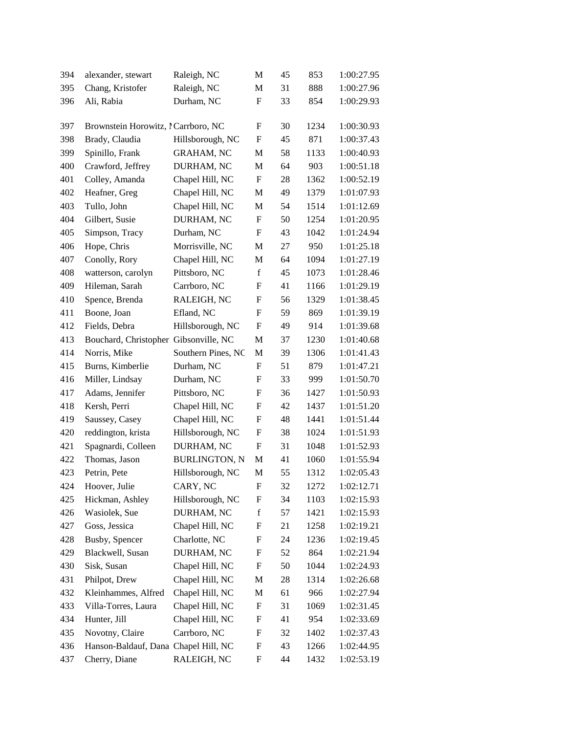| 394 | alexander, stewart                    | Raleigh, NC          | М                         | 45 | 853  | 1:00:27.95 |
|-----|---------------------------------------|----------------------|---------------------------|----|------|------------|
| 395 | Chang, Kristofer                      | Raleigh, NC          | M                         | 31 | 888  | 1:00:27.96 |
| 396 | Ali, Rabia                            | Durham, NC           | F                         | 33 | 854  | 1:00:29.93 |
| 397 | Brownstein Horowitz, l Carrboro, NC   |                      | F                         | 30 | 1234 | 1:00:30.93 |
| 398 | Brady, Claudia                        | Hillsborough, NC     | F                         | 45 | 871  | 1:00:37.43 |
| 399 | Spinillo, Frank                       | <b>GRAHAM, NC</b>    | M                         | 58 | 1133 | 1:00:40.93 |
| 400 | Crawford, Jeffrey                     | DURHAM, NC           | M                         | 64 | 903  | 1:00:51.18 |
| 401 | Colley, Amanda                        | Chapel Hill, NC      | $\boldsymbol{\mathrm{F}}$ | 28 | 1362 | 1:00:52.19 |
| 402 | Heafner, Greg                         | Chapel Hill, NC      | М                         | 49 | 1379 | 1:01:07.93 |
| 403 | Tullo, John                           | Chapel Hill, NC      | M                         | 54 | 1514 | 1:01:12.69 |
| 404 | Gilbert, Susie                        | DURHAM, NC           | F                         | 50 | 1254 | 1:01:20.95 |
| 405 | Simpson, Tracy                        | Durham, NC           | F                         | 43 | 1042 | 1:01:24.94 |
| 406 | Hope, Chris                           | Morrisville, NC      | M                         | 27 | 950  | 1:01:25.18 |
| 407 | Conolly, Rory                         | Chapel Hill, NC      | $\mathbf M$               | 64 | 1094 | 1:01:27.19 |
| 408 | watterson, carolyn                    | Pittsboro, NC        | $\mathbf f$               | 45 | 1073 | 1:01:28.46 |
| 409 | Hileman, Sarah                        | Carrboro, NC         | F                         | 41 | 1166 | 1:01:29.19 |
| 410 | Spence, Brenda                        | RALEIGH, NC          | F                         | 56 | 1329 | 1:01:38.45 |
| 411 | Boone, Joan                           | Efland, NC           | F                         | 59 | 869  | 1:01:39.19 |
| 412 | Fields, Debra                         | Hillsborough, NC     | F                         | 49 | 914  | 1:01:39.68 |
| 413 | Bouchard, Christopher Gibsonville, NC |                      | M                         | 37 | 1230 | 1:01:40.68 |
| 414 | Norris, Mike                          | Southern Pines, NC   | M                         | 39 | 1306 | 1:01:41.43 |
| 415 | Burns, Kimberlie                      | Durham, NC           | F                         | 51 | 879  | 1:01:47.21 |
| 416 | Miller, Lindsay                       | Durham, NC           | F                         | 33 | 999  | 1:01:50.70 |
| 417 | Adams, Jennifer                       | Pittsboro, NC        | F                         | 36 | 1427 | 1:01:50.93 |
| 418 | Kersh, Perri                          | Chapel Hill, NC      | F                         | 42 | 1437 | 1:01:51.20 |
| 419 | Saussey, Casey                        | Chapel Hill, NC      | F                         | 48 | 1441 | 1:01:51.44 |
| 420 | reddington, krista                    | Hillsborough, NC     | F                         | 38 | 1024 | 1:01:51.93 |
| 421 | Spagnardi, Colleen                    | DURHAM, NC           | F                         | 31 | 1048 | 1:01:52.93 |
| 422 | Thomas, Jason                         | <b>BURLINGTON, N</b> | М                         | 41 | 1060 | 1:01:55.94 |
| 423 | Petrin, Pete                          | Hillsborough, NC     | M                         | 55 | 1312 | 1:02:05.43 |
| 424 | Hoover, Julie                         | CARY, NC             | ${\bf F}$                 | 32 | 1272 | 1:02:12.71 |
| 425 | Hickman, Ashley                       | Hillsborough, NC     | F                         | 34 | 1103 | 1:02:15.93 |
| 426 | Wasiolek, Sue                         | DURHAM, NC           | $\mathbf f$               | 57 | 1421 | 1:02:15.93 |
| 427 | Goss, Jessica                         | Chapel Hill, NC      | F                         | 21 | 1258 | 1:02:19.21 |
| 428 | Busby, Spencer                        | Charlotte, NC        | F                         | 24 | 1236 | 1:02:19.45 |
| 429 | Blackwell, Susan                      | DURHAM, NC           | F                         | 52 | 864  | 1:02:21.94 |
| 430 | Sisk, Susan                           | Chapel Hill, NC      | ${\rm F}$                 | 50 | 1044 | 1:02:24.93 |
| 431 | Philpot, Drew                         | Chapel Hill, NC      | M                         | 28 | 1314 | 1:02:26.68 |
| 432 | Kleinhammes, Alfred                   | Chapel Hill, NC      | M                         | 61 | 966  | 1:02:27.94 |
| 433 | Villa-Torres, Laura                   | Chapel Hill, NC      | $\boldsymbol{\mathrm{F}}$ | 31 | 1069 | 1:02:31.45 |
| 434 | Hunter, Jill                          | Chapel Hill, NC      | F                         | 41 | 954  | 1:02:33.69 |
| 435 | Novotny, Claire                       | Carrboro, NC         | F                         | 32 | 1402 | 1:02:37.43 |
| 436 | Hanson-Baldauf, Dana Chapel Hill, NC  |                      | F                         | 43 | 1266 | 1:02:44.95 |
| 437 | Cherry, Diane                         | RALEIGH, NC          | F                         | 44 | 1432 | 1:02:53.19 |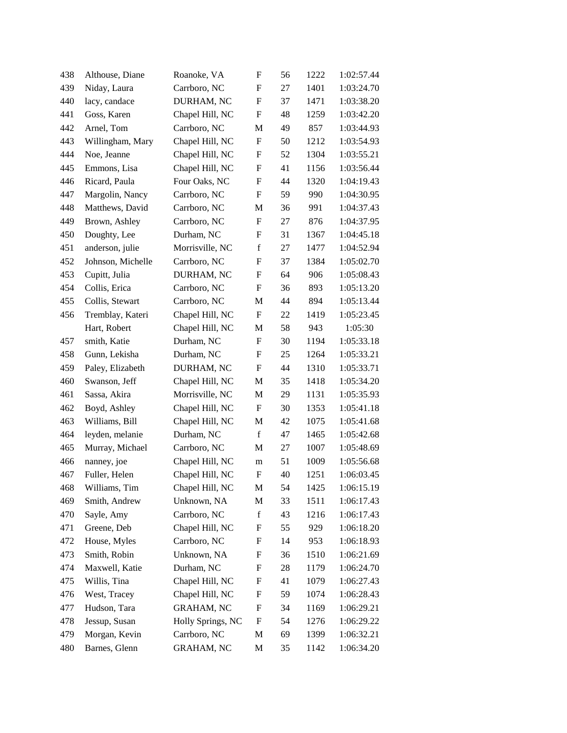| 438 | Althouse, Diane   | Roanoke, VA       | F                         | 56 | 1222 | 1:02:57.44 |
|-----|-------------------|-------------------|---------------------------|----|------|------------|
| 439 | Niday, Laura      | Carrboro, NC      | F                         | 27 | 1401 | 1:03:24.70 |
| 440 | lacy, candace     | DURHAM, NC        | F                         | 37 | 1471 | 1:03:38.20 |
| 441 | Goss, Karen       | Chapel Hill, NC   | F                         | 48 | 1259 | 1:03:42.20 |
| 442 | Arnel, Tom        | Carrboro, NC      | M                         | 49 | 857  | 1:03:44.93 |
| 443 | Willingham, Mary  | Chapel Hill, NC   | ${\bf F}$                 | 50 | 1212 | 1:03:54.93 |
| 444 | Noe, Jeanne       | Chapel Hill, NC   | F                         | 52 | 1304 | 1:03:55.21 |
| 445 | Emmons, Lisa      | Chapel Hill, NC   | F                         | 41 | 1156 | 1:03:56.44 |
| 446 | Ricard, Paula     | Four Oaks, NC     | F                         | 44 | 1320 | 1:04:19.43 |
| 447 | Margolin, Nancy   | Carrboro, NC      | F                         | 59 | 990  | 1:04:30.95 |
| 448 | Matthews, David   | Carrboro, NC      | M                         | 36 | 991  | 1:04:37.43 |
| 449 | Brown, Ashley     | Carrboro, NC      | F                         | 27 | 876  | 1:04:37.95 |
| 450 | Doughty, Lee      | Durham, NC        | F                         | 31 | 1367 | 1:04:45.18 |
| 451 | anderson, julie   | Morrisville, NC   | $\mathbf f$               | 27 | 1477 | 1:04:52.94 |
| 452 | Johnson, Michelle | Carrboro, NC      | F                         | 37 | 1384 | 1:05:02.70 |
| 453 | Cupitt, Julia     | DURHAM, NC        | F                         | 64 | 906  | 1:05:08.43 |
| 454 | Collis, Erica     | Carrboro, NC      | F                         | 36 | 893  | 1:05:13.20 |
| 455 | Collis, Stewart   | Carrboro, NC      | M                         | 44 | 894  | 1:05:13.44 |
| 456 | Tremblay, Kateri  | Chapel Hill, NC   | $\boldsymbol{\mathrm{F}}$ | 22 | 1419 | 1:05:23.45 |
|     | Hart, Robert      | Chapel Hill, NC   | M                         | 58 | 943  | 1:05:30    |
| 457 | smith, Katie      | Durham, NC        | F                         | 30 | 1194 | 1:05:33.18 |
| 458 | Gunn, Lekisha     | Durham, NC        | F                         | 25 | 1264 | 1:05:33.21 |
| 459 | Paley, Elizabeth  | DURHAM, NC        | F                         | 44 | 1310 | 1:05:33.71 |
| 460 | Swanson, Jeff     | Chapel Hill, NC   | M                         | 35 | 1418 | 1:05:34.20 |
| 461 | Sassa, Akira      | Morrisville, NC   | M                         | 29 | 1131 | 1:05:35.93 |
| 462 | Boyd, Ashley      | Chapel Hill, NC   | F                         | 30 | 1353 | 1:05:41.18 |
| 463 | Williams, Bill    | Chapel Hill, NC   | M                         | 42 | 1075 | 1:05:41.68 |
| 464 | leyden, melanie   | Durham, NC        | $\mathbf f$               | 47 | 1465 | 1:05:42.68 |
| 465 | Murray, Michael   | Carrboro, NC      | M                         | 27 | 1007 | 1:05:48.69 |
| 466 | nanney, joe       | Chapel Hill, NC   | m                         | 51 | 1009 | 1:05:56.68 |
| 467 | Fuller, Helen     | Chapel Hill, NC   | F                         | 40 | 1251 | 1:06:03.45 |
| 468 | Williams, Tim     | Chapel Hill, NC   | M                         | 54 | 1425 | 1:06:15.19 |
| 469 | Smith, Andrew     | Unknown, NA       | M                         | 33 | 1511 | 1:06:17.43 |
| 470 | Sayle, Amy        | Carrboro, NC      | $\mathbf f$               | 43 | 1216 | 1:06:17.43 |
| 471 | Greene, Deb       | Chapel Hill, NC   | F                         | 55 | 929  | 1:06:18.20 |
| 472 | House, Myles      | Carrboro, NC      | F                         | 14 | 953  | 1:06:18.93 |
| 473 | Smith, Robin      | Unknown, NA       | F                         | 36 | 1510 | 1:06:21.69 |
| 474 | Maxwell, Katie    | Durham, NC        | F                         | 28 | 1179 | 1:06:24.70 |
| 475 | Willis, Tina      | Chapel Hill, NC   | F                         | 41 | 1079 | 1:06:27.43 |
| 476 | West, Tracey      | Chapel Hill, NC   | F                         | 59 | 1074 | 1:06:28.43 |
| 477 | Hudson, Tara      | <b>GRAHAM, NC</b> | F                         | 34 | 1169 | 1:06:29.21 |
| 478 | Jessup, Susan     | Holly Springs, NC | F                         | 54 | 1276 | 1:06:29.22 |
| 479 | Morgan, Kevin     | Carrboro, NC      | M                         | 69 | 1399 | 1:06:32.21 |
| 480 | Barnes, Glenn     | <b>GRAHAM, NC</b> | M                         | 35 | 1142 | 1:06:34.20 |
|     |                   |                   |                           |    |      |            |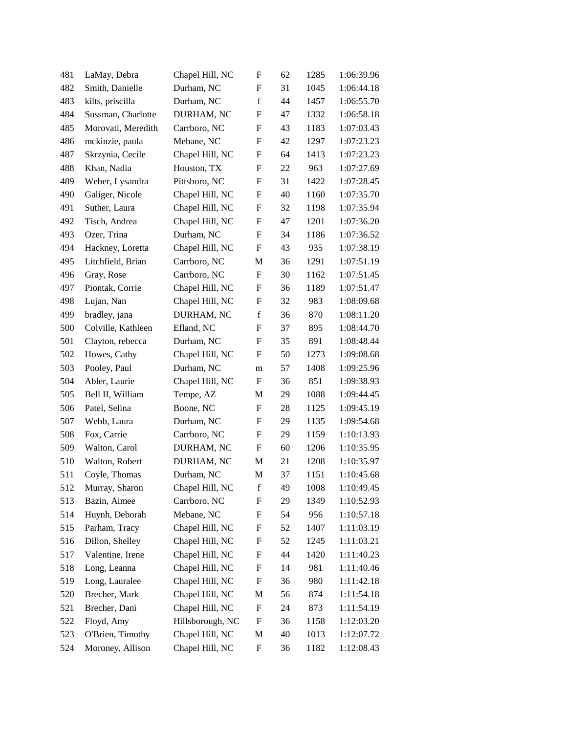| 481 | LaMay, Debra       | Chapel Hill, NC  | $\mathbf F$               | 62 | 1285 | 1:06:39.96 |
|-----|--------------------|------------------|---------------------------|----|------|------------|
| 482 | Smith, Danielle    | Durham, NC       | F                         | 31 | 1045 | 1:06:44.18 |
| 483 | kilts, priscilla   | Durham, NC       | $\mathbf f$               | 44 | 1457 | 1:06:55.70 |
| 484 | Sussman, Charlotte | DURHAM, NC       | F                         | 47 | 1332 | 1:06:58.18 |
| 485 | Morovati, Meredith | Carrboro, NC     | F                         | 43 | 1183 | 1:07:03.43 |
| 486 | mckinzie, paula    | Mebane, NC       | F                         | 42 | 1297 | 1:07:23.23 |
| 487 | Skrzynia, Cecile   | Chapel Hill, NC  | F                         | 64 | 1413 | 1:07:23.23 |
| 488 | Khan, Nadia        | Houston, TX      | F                         | 22 | 963  | 1:07:27.69 |
| 489 | Weber, Lysandra    | Pittsboro, NC    | F                         | 31 | 1422 | 1:07:28.45 |
| 490 | Galiger, Nicole    | Chapel Hill, NC  | F                         | 40 | 1160 | 1:07:35.70 |
| 491 | Suther, Laura      | Chapel Hill, NC  | F                         | 32 | 1198 | 1:07:35.94 |
| 492 | Tisch, Andrea      | Chapel Hill, NC  | F                         | 47 | 1201 | 1:07:36.20 |
| 493 | Ozer, Trina        | Durham, NC       | F                         | 34 | 1186 | 1:07:36.52 |
| 494 | Hackney, Loretta   | Chapel Hill, NC  | F                         | 43 | 935  | 1:07:38.19 |
| 495 | Litchfield, Brian  | Carrboro, NC     | M                         | 36 | 1291 | 1:07:51.19 |
| 496 | Gray, Rose         | Carrboro, NC     | $\boldsymbol{\mathrm{F}}$ | 30 | 1162 | 1:07:51.45 |
| 497 | Piontak, Corrie    | Chapel Hill, NC  | F                         | 36 | 1189 | 1:07:51.47 |
| 498 | Lujan, Nan         | Chapel Hill, NC  | F                         | 32 | 983  | 1:08:09.68 |
| 499 | bradley, jana      | DURHAM, NC       | $\mathbf f$               | 36 | 870  | 1:08:11.20 |
| 500 | Colville, Kathleen | Efland, NC       | F                         | 37 | 895  | 1:08:44.70 |
| 501 | Clayton, rebecca   | Durham, NC       | F                         | 35 | 891  | 1:08:48.44 |
| 502 | Howes, Cathy       | Chapel Hill, NC  | F                         | 50 | 1273 | 1:09:08.68 |
| 503 | Pooley, Paul       | Durham, NC       | m                         | 57 | 1408 | 1:09:25.96 |
| 504 | Abler, Laurie      | Chapel Hill, NC  | F                         | 36 | 851  | 1:09:38.93 |
| 505 | Bell II, William   | Tempe, AZ        | M                         | 29 | 1088 | 1:09:44.45 |
| 506 | Patel, Selina      | Boone, NC        | $\boldsymbol{\mathrm{F}}$ | 28 | 1125 | 1:09:45.19 |
| 507 | Webb, Laura        | Durham, NC       | F                         | 29 | 1135 | 1:09:54.68 |
| 508 | Fox, Carrie        | Carrboro, NC     | F                         | 29 | 1159 | 1:10:13.93 |
| 509 | Walton, Carol      | DURHAM, NC       | F                         | 60 | 1206 | 1:10:35.95 |
| 510 | Walton, Robert     | DURHAM, NC       | M                         | 21 | 1208 | 1:10:35.97 |
| 511 | Coyle, Thomas      | Durham, NC       | M                         | 37 | 1151 | 1:10:45.68 |
| 512 | Murray, Sharon     | Chapel Hill, NC  | f                         | 49 | 1008 | 1:10:49.45 |
| 513 | Bazin, Aimee       | Carrboro, NC     | F                         | 29 | 1349 | 1:10:52.93 |
| 514 | Huynh, Deborah     | Mebane, NC       | F                         | 54 | 956  | 1:10:57.18 |
| 515 | Parham, Tracy      | Chapel Hill, NC  | F                         | 52 | 1407 | 1:11:03.19 |
| 516 | Dillon, Shelley    | Chapel Hill, NC  | ${\rm F}$                 | 52 | 1245 | 1:11:03.21 |
| 517 | Valentine, Irene   | Chapel Hill, NC  | F                         | 44 | 1420 | 1:11:40.23 |
| 518 | Long, Leanna       | Chapel Hill, NC  | F                         | 14 | 981  | 1:11:40.46 |
| 519 | Long, Lauralee     | Chapel Hill, NC  | F                         | 36 | 980  | 1:11:42.18 |
| 520 | Brecher, Mark      | Chapel Hill, NC  | M                         | 56 | 874  | 1:11:54.18 |
| 521 | Brecher, Dani      | Chapel Hill, NC  | $\boldsymbol{\mathrm{F}}$ | 24 | 873  | 1:11:54.19 |
| 522 | Floyd, Amy         | Hillsborough, NC | F                         | 36 | 1158 | 1:12:03.20 |
| 523 | O'Brien, Timothy   | Chapel Hill, NC  | M                         | 40 | 1013 | 1:12:07.72 |
| 524 | Moroney, Allison   | Chapel Hill, NC  | ${\rm F}$                 | 36 | 1182 | 1:12:08.43 |